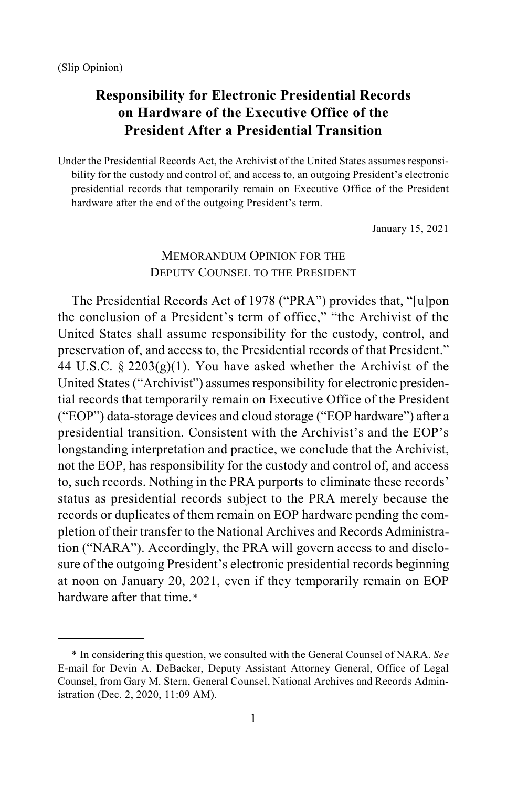$\overline{a}$ 

# **Responsibility for Electronic Presidential Records on Hardware of the Executive Office of the President After a Presidential Transition**

Under the Presidential Records Act, the Archivist of the United States assumes responsibility for the custody and control of, and access to, an outgoing President's electronic presidential records that temporarily remain on Executive Office of the President hardware after the end of the outgoing President's term.

January 15, 2021

# MEMORANDUM OPINION FOR THE DEPUTY COUNSEL TO THE PRESIDENT

The Presidential Records Act of 1978 ("PRA") provides that, "[u]pon the conclusion of a President's term of office," "the Archivist of the United States shall assume responsibility for the custody, control, and preservation of, and access to, the Presidential records of that President." 44 U.S.C.  $\S 2203(g)(1)$ . You have asked whether the Archivist of the United States ("Archivist") assumes responsibility for electronic presidential records that temporarily remain on Executive Office of the President ("EOP") data-storage devices and cloud storage ("EOP hardware") after a presidential transition. Consistent with the Archivist's and the EOP's longstanding interpretation and practice, we conclude that the Archivist, not the EOP, has responsibility for the custody and control of, and access to, such records. Nothing in the PRA purports to eliminate these records' status as presidential records subject to the PRA merely because the records or duplicates of them remain on EOP hardware pending the completion of their transfer to the National Archives and Records Administration ("NARA"). Accordingly, the PRA will govern access to and disclosure of the outgoing President's electronic presidential records beginning at noon on January 20, 2021, even if they temporarily remain on EOP hardware after that time.[\\*](#page-0-0)

<span id="page-0-0"></span><sup>\*</sup> In considering this question, we consulted with the General Counsel of NARA. *See* E-mail for Devin A. DeBacker, Deputy Assistant Attorney General, Office of Legal Counsel, from Gary M. Stern, General Counsel, National Archives and Records Administration (Dec. 2, 2020, 11:09 AM).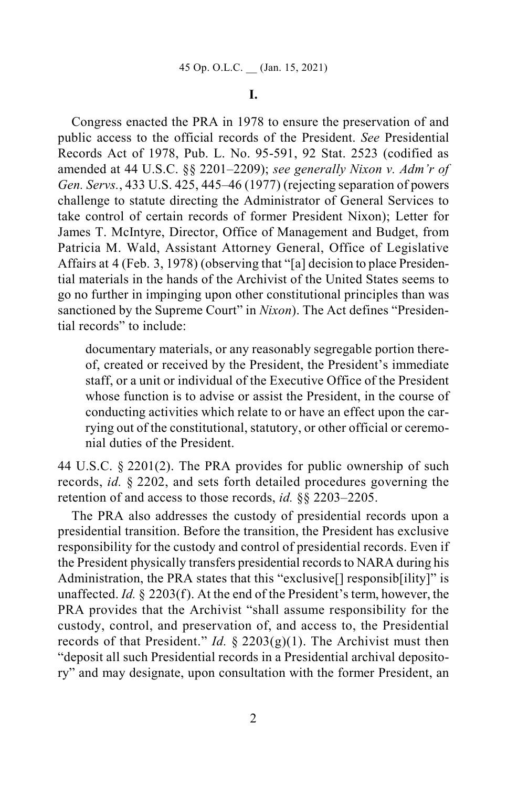### **I.**

Congress enacted the PRA in 1978 to ensure the preservation of and public access to the official records of the President. *See* Presidential Records Act of 1978, Pub. L. No. 95-591, 92 Stat. 2523 (codified as amended at 44 U.S.C. §§ 2201–2209); *see generally Nixon v. Adm'r of Gen. Servs.*, 433 U.S. 425, 445–46 (1977) (rejecting separation of powers challenge to statute directing the Administrator of General Services to take control of certain records of former President Nixon); Letter for James T. McIntyre, Director, Office of Management and Budget, from Patricia M. Wald, Assistant Attorney General, Office of Legislative Affairs at 4 (Feb. 3, 1978) (observing that "[a] decision to place Presidential materials in the hands of the Archivist of the United States seems to go no further in impinging upon other constitutional principles than was sanctioned by the Supreme Court" in *Nixon*). The Act defines "Presidential records" to include:

documentary materials, or any reasonably segregable portion thereof, created or received by the President, the President's immediate staff, or a unit or individual of the Executive Office of the President whose function is to advise or assist the President, in the course of conducting activities which relate to or have an effect upon the carrying out of the constitutional, statutory, or other official or ceremonial duties of the President.

44 U.S.C. § 2201(2). The PRA provides for public ownership of such records, *id.* § 2202, and sets forth detailed procedures governing the retention of and access to those records, *id.* §§ 2203–2205.

The PRA also addresses the custody of presidential records upon a presidential transition. Before the transition, the President has exclusive responsibility for the custody and control of presidential records. Even if the President physically transfers presidential records to NARA during his Administration, the PRA states that this "exclusive<sup>[]</sup> responsib<sup>[1]</sup>ity]" is unaffected. *Id.* § 2203(f). At the end of the President's term, however, the PRA provides that the Archivist "shall assume responsibility for the custody, control, and preservation of, and access to, the Presidential records of that President." *Id.* § 2203(g)(1). The Archivist must then "deposit all such Presidential records in a Presidential archival depository" and may designate, upon consultation with the former President, an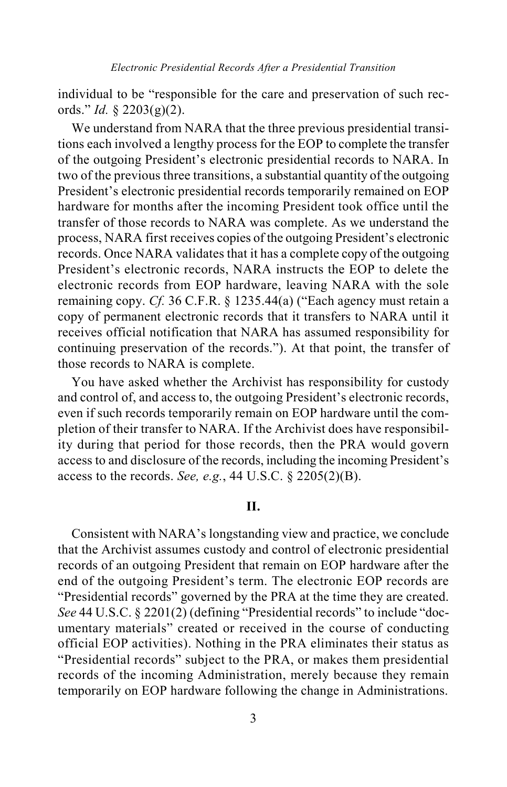individual to be "responsible for the care and preservation of such records." *Id.* § 2203(g)(2).

We understand from NARA that the three previous presidential transitions each involved a lengthy process for the EOP to complete the transfer of the outgoing President's electronic presidential records to NARA. In two of the previous three transitions, a substantial quantity of the outgoing President's electronic presidential records temporarily remained on EOP hardware for months after the incoming President took office until the transfer of those records to NARA was complete. As we understand the process, NARA first receives copies of the outgoing President's electronic records. Once NARA validates that it has a complete copy of the outgoing President's electronic records, NARA instructs the EOP to delete the electronic records from EOP hardware, leaving NARA with the sole remaining copy. *Cf.* 36 C.F.R. § 1235.44(a) ("Each agency must retain a copy of permanent electronic records that it transfers to NARA until it receives official notification that NARA has assumed responsibility for continuing preservation of the records."). At that point, the transfer of those records to NARA is complete.

You have asked whether the Archivist has responsibility for custody and control of, and access to, the outgoing President's electronic records, even if such records temporarily remain on EOP hardware until the completion of their transfer to NARA. If the Archivist does have responsibility during that period for those records, then the PRA would govern access to and disclosure of the records, including the incoming President's access to the records. *See, e.g.*, 44 U.S.C. § 2205(2)(B).

#### **II.**

Consistent with NARA's longstanding view and practice, we conclude that the Archivist assumes custody and control of electronic presidential records of an outgoing President that remain on EOP hardware after the end of the outgoing President's term. The electronic EOP records are "Presidential records" governed by the PRA at the time they are created. *See* 44 U.S.C. § 2201(2) (defining "Presidential records" to include "documentary materials" created or received in the course of conducting official EOP activities). Nothing in the PRA eliminates their status as "Presidential records" subject to the PRA, or makes them presidential records of the incoming Administration, merely because they remain temporarily on EOP hardware following the change in Administrations.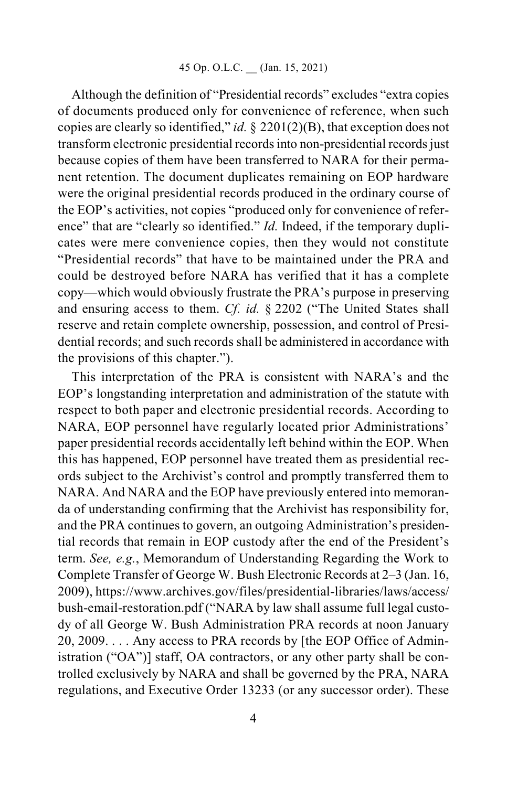Although the definition of "Presidential records" excludes "extra copies of documents produced only for convenience of reference, when such copies are clearly so identified," *id.* § 2201(2)(B), that exception does not transform electronic presidential records into non-presidential records just because copies of them have been transferred to NARA for their permanent retention. The document duplicates remaining on EOP hardware were the original presidential records produced in the ordinary course of the EOP's activities, not copies "produced only for convenience of reference" that are "clearly so identified." *Id.* Indeed, if the temporary duplicates were mere convenience copies, then they would not constitute "Presidential records" that have to be maintained under the PRA and could be destroyed before NARA has verified that it has a complete copy—which would obviously frustrate the PRA's purpose in preserving and ensuring access to them. *Cf. id.* § 2202 ("The United States shall reserve and retain complete ownership, possession, and control of Presidential records; and such records shall be administered in accordance with the provisions of this chapter.").

This interpretation of the PRA is consistent with NARA's and the EOP's longstanding interpretation and administration of the statute with respect to both paper and electronic presidential records. According to NARA, EOP personnel have regularly located prior Administrations' paper presidential records accidentally left behind within the EOP. When this has happened, EOP personnel have treated them as presidential records subject to the Archivist's control and promptly transferred them to NARA. And NARA and the EOP have previously entered into memoranda of understanding confirming that the Archivist has responsibility for, and the PRA continues to govern, an outgoing Administration's presidential records that remain in EOP custody after the end of the President's term. *See, e.g.*, Memorandum of Understanding Regarding the Work to Complete Transfer of George W. Bush Electronic Records at 2–3 (Jan. 16, 2009), https://www.archives.gov/files/presidential-libraries/laws/access/ bush-email-restoration.pdf ("NARA by law shall assume full legal custody of all George W. Bush Administration PRA records at noon January 20, 2009. . . . Any access to PRA records by [the EOP Office of Administration ("OA")] staff, OA contractors, or any other party shall be controlled exclusively by NARA and shall be governed by the PRA, NARA regulations, and Executive Order 13233 (or any successor order). These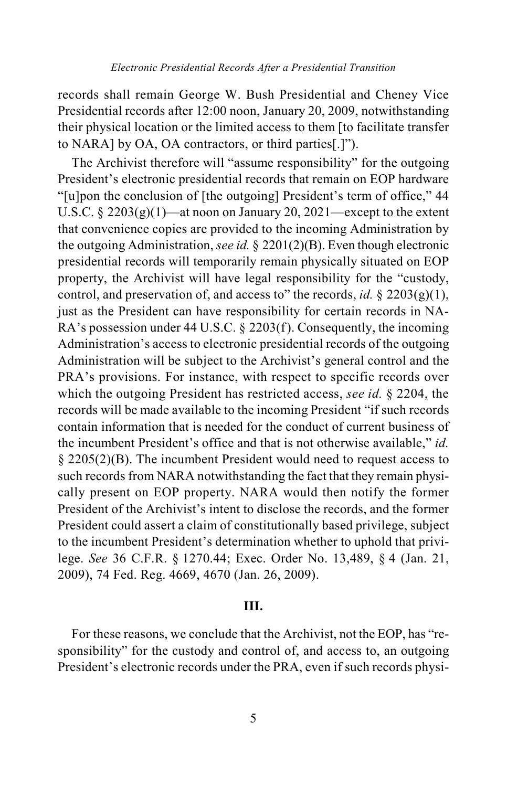records shall remain George W. Bush Presidential and Cheney Vice Presidential records after 12:00 noon, January 20, 2009, notwithstanding their physical location or the limited access to them [to facilitate transfer to NARA] by OA, OA contractors, or third parties[.]").

The Archivist therefore will "assume responsibility" for the outgoing President's electronic presidential records that remain on EOP hardware "[u]pon the conclusion of [the outgoing] President's term of office," 44 U.S.C.  $\S 2203(g)(1)$ —at noon on January 20, 2021—except to the extent that convenience copies are provided to the incoming Administration by the outgoing Administration, *see id.* § 2201(2)(B). Even though electronic presidential records will temporarily remain physically situated on EOP property, the Archivist will have legal responsibility for the "custody, control, and preservation of, and access to" the records, *id.* §  $2203(g)(1)$ , just as the President can have responsibility for certain records in NA-RA's possession under 44 U.S.C. § 2203(f). Consequently, the incoming Administration's access to electronic presidential records of the outgoing Administration will be subject to the Archivist's general control and the PRA's provisions. For instance, with respect to specific records over which the outgoing President has restricted access, *see id.* § 2204, the records will be made available to the incoming President "if such records contain information that is needed for the conduct of current business of the incumbent President's office and that is not otherwise available," *id.* § 2205(2)(B). The incumbent President would need to request access to such records from NARA notwithstanding the fact that they remain physically present on EOP property. NARA would then notify the former President of the Archivist's intent to disclose the records, and the former President could assert a claim of constitutionally based privilege, subject to the incumbent President's determination whether to uphold that privilege. *See* 36 C.F.R. § 1270.44; Exec. Order No. 13,489, § 4 (Jan. 21, 2009), 74 Fed. Reg. 4669, 4670 (Jan. 26, 2009).

### **III.**

For these reasons, we conclude that the Archivist, not the EOP, has "responsibility" for the custody and control of, and access to, an outgoing President's electronic records under the PRA, even if such records physi-